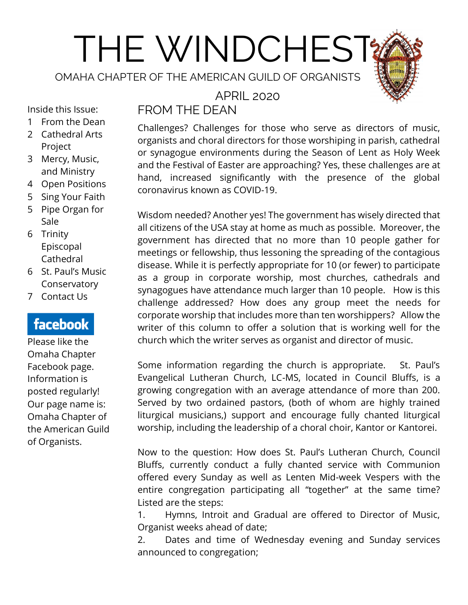# THE WINDCHEST

OMAHA CHAPTER OF THE AMERICAN GUILD OF ORGANISTS



Inside this Issue:

- 1 From the Dean
- 2 Cathedral Arts Project
- 3 Mercy, Music, and Ministry
- 4 Open Positions
- 5 Sing Your Faith
- 5 Pipe Organ for Sale
- 6 Trinity Episcopal Cathedral
- 6 St. Paul's Music Conservatory
- 7 Contact Us

# facebook

Please like the Omaha Chapter Facebook page. Information is posted regularly! Our page name is: Omaha Chapter of the American Guild of Organists.

## APRIL 2020 FROM THE DEAN

Challenges? Challenges for those who serve as directors of music, organists and choral directors for those worshiping in parish, cathedral or synagogue environments during the Season of Lent as Holy Week and the Festival of Easter are approaching? Yes, these challenges are at hand, increased significantly with the presence of the global coronavirus known as COVID-19.

Wisdom needed? Another yes! The government has wisely directed that all citizens of the USA stay at home as much as possible. Moreover, the government has directed that no more than 10 people gather for meetings or fellowship, thus lessoning the spreading of the contagious disease. While it is perfectly appropriate for 10 (or fewer) to participate as a group in corporate worship, most churches, cathedrals and synagogues have attendance much larger than 10 people. How is this challenge addressed? How does any group meet the needs for corporate worship that includes more than ten worshippers? Allow the writer of this column to offer a solution that is working well for the church which the writer serves as organist and director of music.

Some information regarding the church is appropriate. St. Paul's Evangelical Lutheran Church, LC-MS, located in Council Bluffs, is a growing congregation with an average attendance of more than 200. Served by two ordained pastors, (both of whom are highly trained liturgical musicians,) support and encourage fully chanted liturgical worship, including the leadership of a choral choir, Kantor or Kantorei.

Now to the question: How does St. Paul's Lutheran Church, Council Bluffs, currently conduct a fully chanted service with Communion offered every Sunday as well as Lenten Mid-week Vespers with the entire congregation participating all "together" at the same time? Listed are the steps:

1. Hymns, Introit and Gradual are offered to Director of Music, Organist weeks ahead of date;

2. Dates and time of Wednesday evening and Sunday services announced to congregation;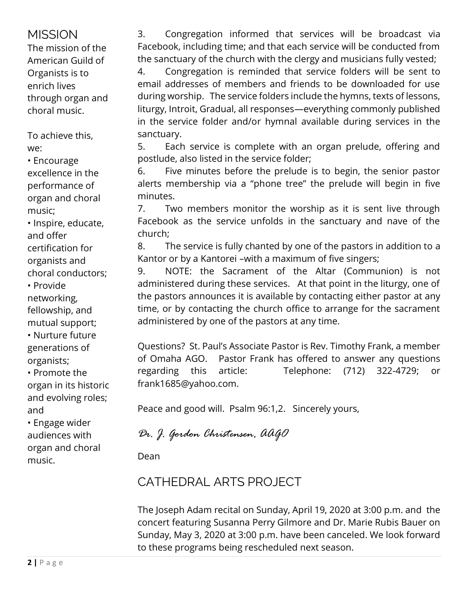# **MISSION**

The mission of the American Guild of Organists is to enrich lives through organ and choral music.

To achieve this, we:

• Encourage excellence in the performance of organ and choral music;

• Inspire, educate, and offer certification for organists and

choral conductors; • Provide

networking, fellowship, and mutual support;

• Nurture future generations of organists;

• Promote the organ in its historic and evolving roles; and

• Engage wider audiences with organ and choral music.

3. Congregation informed that services will be broadcast via Facebook, including time; and that each service will be conducted from the sanctuary of the church with the clergy and musicians fully vested;

4. Congregation is reminded that service folders will be sent to email addresses of members and friends to be downloaded for use during worship. The service folders include the hymns, texts of lessons, liturgy, Introit, Gradual, all responses—everything commonly published in the service folder and/or hymnal available during services in the sanctuary.

5. Each service is complete with an organ prelude, offering and postlude, also listed in the service folder;

6. Five minutes before the prelude is to begin, the senior pastor alerts membership via a "phone tree" the prelude will begin in five minutes.

7. Two members monitor the worship as it is sent live through Facebook as the service unfolds in the sanctuary and nave of the church;

8. The service is fully chanted by one of the pastors in addition to a Kantor or by a Kantorei –with a maximum of five singers;

9. NOTE: the Sacrament of the Altar (Communion) is not administered during these services. At that point in the liturgy, one of the pastors announces it is available by contacting either pastor at any time, or by contacting the church office to arrange for the sacrament administered by one of the pastors at any time.

Questions? St. Paul's Associate Pastor is Rev. Timothy Frank, a member of Omaha AGO. Pastor Frank has offered to answer any questions regarding this article: Telephone: (712) 322-4729; or frank1685@yahoo.com.

Peace and good will. Psalm 96:1,2. Sincerely yours,

*Dr. J. Gordon Christensen, AAGO*

Dean

# CATHEDRAL ARTS PROJECT

The Joseph Adam recital on Sunday, April 19, 2020 at 3:00 p.m. and the concert featuring Susanna Perry Gilmore and Dr. Marie Rubis Bauer on Sunday, May 3, 2020 at 3:00 p.m. have been canceled. We look forward to these programs being rescheduled next season.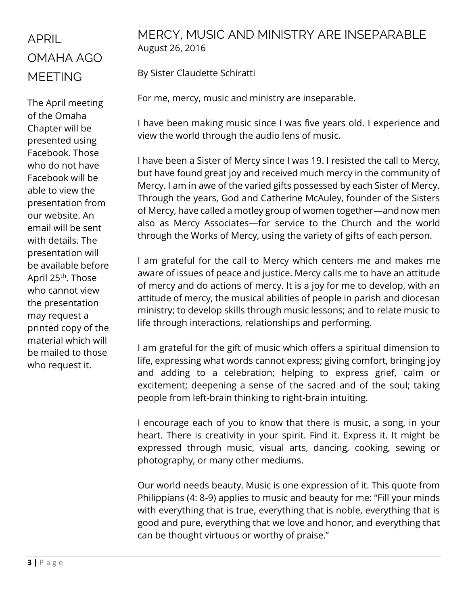# APRIL OMAHA AGO MEETING

The April meeting of the Omaha Chapter will be presented using Facebook. Those who do not have Facebook will be able to view the presentation from our website. An email will be sent with details. The presentation will be available before April 25th. Those who cannot view the presentation may request a printed copy of the material which will be mailed to those who request it.

# MERCY, MUSIC AND MINISTRY ARE INSEPARABLE August 26, 2016

By Sister Claudette Schiratti

For me, mercy, music and ministry are inseparable.

I have been making music since I was five years old. I experience and view the world through the audio lens of music.

I have been a Sister of Mercy since I was 19. I resisted the call to Mercy, but have found great joy and received much mercy in the community of Mercy. I am in awe of the varied gifts possessed by each Sister of Mercy. Through the years, God and Catherine McAuley, founder of the Sisters of Mercy, have called a motley group of women together—and now men also as Mercy Associates—for service to the Church and the world through the Works of Mercy, using the variety of gifts of each person.

I am grateful for the call to Mercy which centers me and makes me aware of issues of peace and justice. Mercy calls me to have an attitude of mercy and do actions of mercy. It is a joy for me to develop, with an attitude of mercy, the musical abilities of people in parish and diocesan ministry; to develop skills through music lessons; and to relate music to life through interactions, relationships and performing.

I am grateful for the gift of music which offers a spiritual dimension to life, expressing what words cannot express; giving comfort, bringing joy and adding to a celebration; helping to express grief, calm or excitement; deepening a sense of the sacred and of the soul; taking people from left-brain thinking to right-brain intuiting.

I encourage each of you to know that there is music, a song, in your heart. There is creativity in your spirit. Find it. Express it. It might be expressed through music, visual arts, dancing, cooking, sewing or photography, or many other mediums.

Our world needs beauty. Music is one expression of it. This quote from Philippians (4: 8-9) applies to music and beauty for me: "Fill your minds with everything that is true, everything that is noble, everything that is good and pure, everything that we love and honor, and everything that can be thought virtuous or worthy of praise."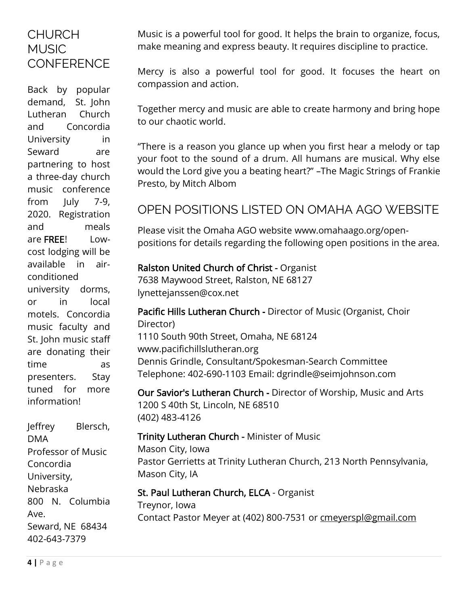# **CHURCH MUSIC CONFFRENCE**

Back by popular demand, St. John Lutheran Church and Concordia University in Seward are partnering to host a three-day church music conference from July 7-9, 2020. Registration and meals are FREE! Lowcost lodging will be available in airconditioned university dorms, or in local motels. Concordia music faculty and St. John music staff are donating their time as presenters. Stay tuned for more information!

Jeffrey Blersch, DMA Professor of Music Concordia University, Nebraska 800 N. Columbia Ave. Seward, NE 68434 402-643-7379

Music is a powerful tool for good. It helps the brain to organize, focus, make meaning and express beauty. It requires discipline to practice.

Mercy is also a powerful tool for good. It focuses the heart on compassion and action.

Together mercy and music are able to create harmony and bring hope to our chaotic world.

"There is a reason you glance up when you first hear a melody or tap your foot to the sound of a drum. All humans are musical. Why else would the Lord give you a beating heart?" –The Magic Strings of Frankie Presto, by Mitch Albom

# OPEN POSITIONS LISTED ON OMAHA AGO WEBSITE

Please visit the Omaha AGO website [www.omahaago.org/open](http://www.omahaago.org/open-positions)[positions](http://www.omahaago.org/open-positions) for details regarding the following open positions in the area.

## Ralston United Church of Christ - Organist

7638 Maywood Street, Ralston, NE 68127 lynettejanssen@cox.net

# Pacific Hills Lutheran Church - Director of Music (Organist, Choir Director)

1110 South 90th Street, Omaha, NE 68124 www.pacifichillslutheran.org Dennis Grindle, Consultant/Spokesman-Search Committee Telephone: 402-690-1103 Email: dgrindle@seimjohnson.com

Our Savior's Lutheran Church - Director of Worship, Music and Arts 1200 S 40th St, Lincoln, NE 68510 (402) 483-4126

## Trinity Lutheran Church - Minister of Music Mason City, Iowa Pastor Gerrietts at Trinity Lutheran Church, 213 North Pennsylvania, Mason City, IA

## St. Paul Lutheran Church, ELCA - Organist Treynor, Iowa Contact Pastor Meyer at (402) 800-7531 or [cmeyerspl@gmail.com](mailto:cmeyerspl@gmail.com)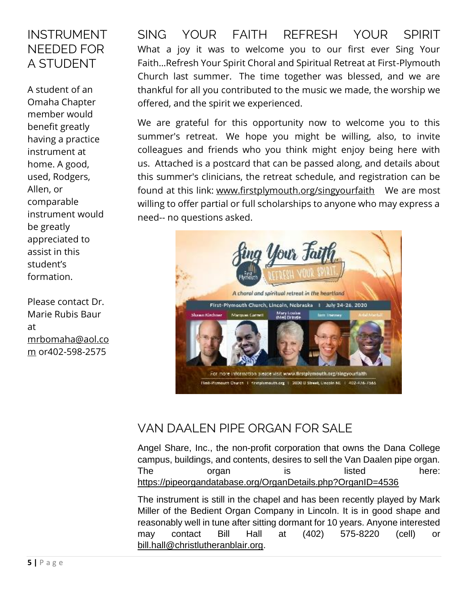# INSTRUMENT NEEDED FOR A STUDENT

A student of an Omaha Chapter member would benefit greatly having a practice instrument at home. A good, used, Rodgers, Allen, or comparable instrument would be greatly appreciated to assist in this student's formation.

Please contact Dr. Marie Rubis Baur at [mrbomaha@aol.co](mailto:mrbomaha@aol.com) [m](mailto:mrbomaha@aol.com) or402-598-2575

SING YOUR FAITH REFRESH YOUR SPIRIT What a joy it was to welcome you to our first ever Sing Your Faith...Refresh Your Spirit Choral and Spiritual Retreat at First-Plymouth Church last summer. The time together was blessed, and we are thankful for all you contributed to the music we made, the worship we offered, and the spirit we experienced.

We are grateful for this opportunity now to welcome you to this summer's retreat. We hope you might be willing, also, to invite colleagues and friends who you think might enjoy being here with us. Attached is a postcard that can be passed along, and details about this summer's clinicians, the retreat schedule, and registration can be found at this link: [www.firstplymouth.org/singyourfaith](http://www.firstplymouth.org/singyourfaith) We are most willing to offer partial or full scholarships to anyone who may express a need-- no questions asked.



# VAN DAALEN PIPE ORGAN FOR SALE

Angel Share, Inc., the non-profit corporation that owns the Dana College campus, buildings, and contents, desires to sell the Van Daalen pipe organ. The organ is listed here: <https://pipeorgandatabase.org/OrganDetails.php?OrganID=4536>

The instrument is still in the chapel and has been recently played by Mark Miller of the Bedient Organ Company in Lincoln. It is in good shape and reasonably well in tune after sitting dormant for 10 years. Anyone interested may contact Bill Hall at (402) 575-8220 (cell) or [bill.hall@christlutheranblair.org.](mailto:bill.hall@christlutheranblair.org)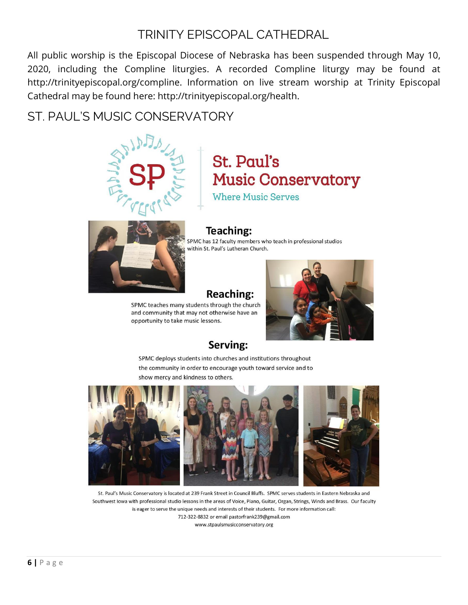# TRINITY EPISCOPAL CATHEDRAL

All public worship is the Episcopal Diocese of Nebraska has been suspended through May 10, 2020, including the Compline liturgies. A recorded Compline liturgy may be found at http://trinityepiscopal.org/compline. Information on live stream worship at Trinity Episcopal Cathedral may be found here: http://trinityepiscopal.org/health.

# ST. PAUL'S MUSIC CONSERVATORY



# **St. Paul's Music Conservatory**

**Where Music Serves** 

## **Teaching:**

SPMC has 12 faculty members who teach in professional studios within St. Paul's Lutheran Church.

# **Reaching:**

SPMC teaches many students through the church and community that may not otherwise have an opportunity to take music lessons.



# Serving:

SPMC deploys students into churches and institutions throughout the community in order to encourage youth toward service and to show mercy and kindness to others.



St. Paul's Music Conservatory is located at 239 Frank Street in Council Bluffs. SPMC serves students in Eastern Nebraska and Southwest lowa with professional studio lessons in the areas of Voice, Piano, Guitar, Organ, Strings, Winds and Brass. Our faculty is eager to serve the unique needs and interests of their students. For more information call: 712-322-8832 or email pastorfrank239@gmail.com

www.stpaulsmusicconservatory.org